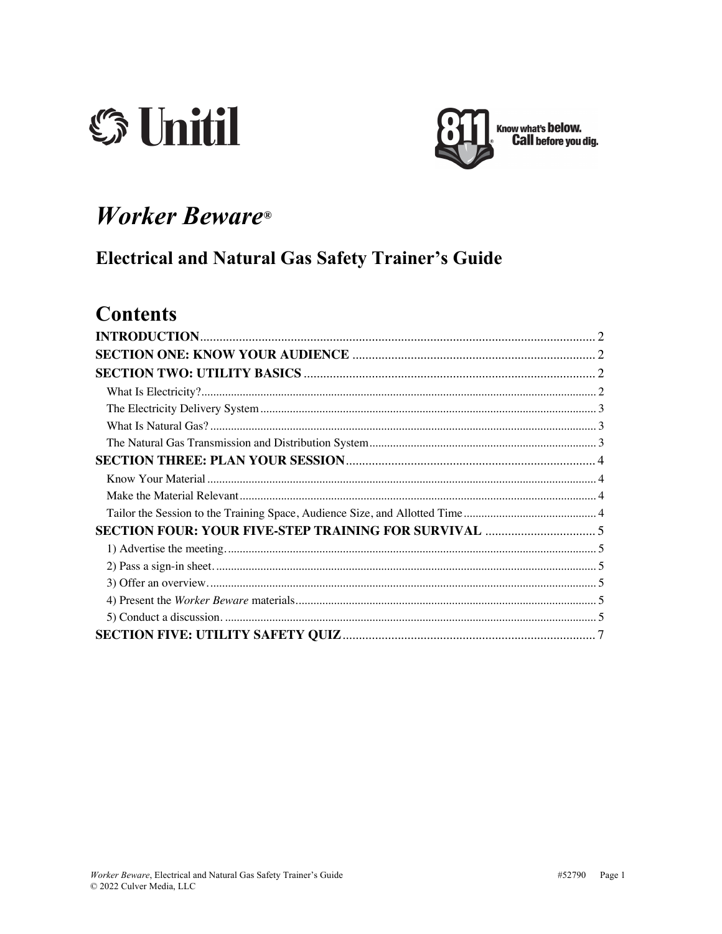



# **Worker Beware®**

### **Electrical and Natural Gas Safety Trainer's Guide**

### **Contents**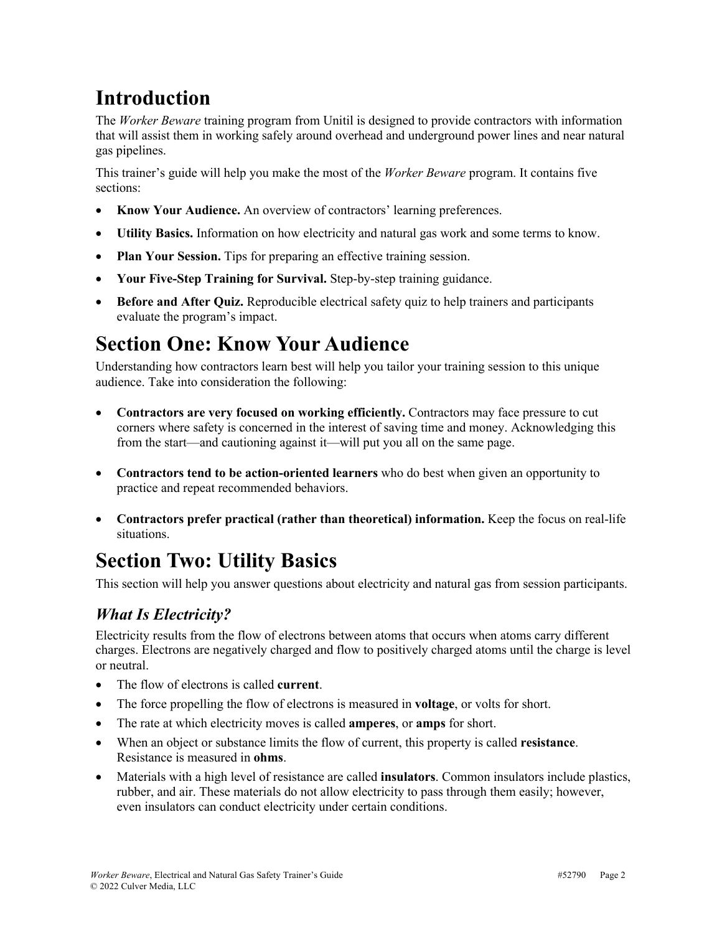# **Introduction**

The *Worker Beware* training program from Unitil is designed to provide contractors with information that will assist them in working safely around overhead and underground power lines and near natural gas pipelines.

This trainer's guide will help you make the most of the *Worker Beware* program. It contains five sections:

- **Know Your Audience.** An overview of contractors' learning preferences.
- **Utility Basics.** Information on how electricity and natural gas work and some terms to know.
- **Plan Your Session.** Tips for preparing an effective training session.
- **Your Five-Step Training for Survival.** Step-by-step training guidance.
- **Before and After Quiz.** Reproducible electrical safety quiz to help trainers and participants evaluate the program's impact.

## **Section One: Know Your Audience**

Understanding how contractors learn best will help you tailor your training session to this unique audience. Take into consideration the following:

- **Contractors are very focused on working efficiently.** Contractors may face pressure to cut corners where safety is concerned in the interest of saving time and money. Acknowledging this from the start—and cautioning against it—will put you all on the same page.
- **Contractors tend to be action-oriented learners** who do best when given an opportunity to practice and repeat recommended behaviors.
- **Contractors prefer practical (rather than theoretical) information.** Keep the focus on real-life situations.

# **Section Two: Utility Basics**

This section will help you answer questions about electricity and natural gas from session participants.

### *What Is Electricity?*

Electricity results from the flow of electrons between atoms that occurs when atoms carry different charges. Electrons are negatively charged and flow to positively charged atoms until the charge is level or neutral.

- The flow of electrons is called **current**.
- The force propelling the flow of electrons is measured in **voltage**, or volts for short.
- The rate at which electricity moves is called **amperes**, or **amps** for short.
- When an object or substance limits the flow of current, this property is called **resistance**. Resistance is measured in **ohms**.
- Materials with a high level of resistance are called **insulators**. Common insulators include plastics, rubber, and air. These materials do not allow electricity to pass through them easily; however, even insulators can conduct electricity under certain conditions.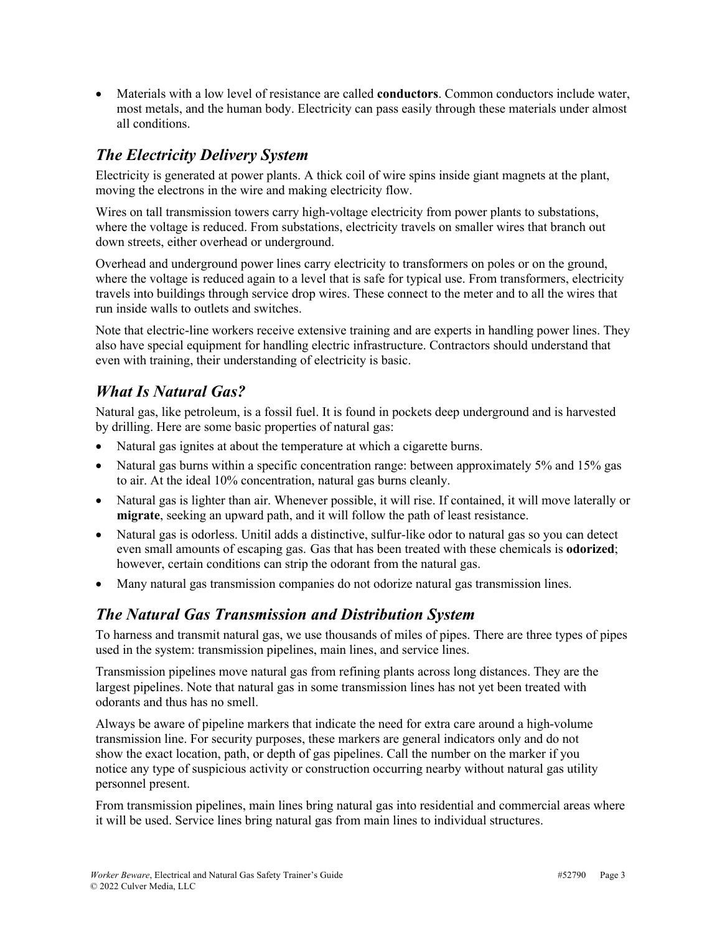• Materials with a low level of resistance are called **conductors**. Common conductors include water, most metals, and the human body. Electricity can pass easily through these materials under almost all conditions.

### *The Electricity Delivery System*

Electricity is generated at power plants. A thick coil of wire spins inside giant magnets at the plant, moving the electrons in the wire and making electricity flow.

Wires on tall transmission towers carry high-voltage electricity from power plants to substations, where the voltage is reduced. From substations, electricity travels on smaller wires that branch out down streets, either overhead or underground.

Overhead and underground power lines carry electricity to transformers on poles or on the ground, where the voltage is reduced again to a level that is safe for typical use. From transformers, electricity travels into buildings through service drop wires. These connect to the meter and to all the wires that run inside walls to outlets and switches.

Note that electric-line workers receive extensive training and are experts in handling power lines. They also have special equipment for handling electric infrastructure. Contractors should understand that even with training, their understanding of electricity is basic.

### *What Is Natural Gas?*

Natural gas, like petroleum, is a fossil fuel. It is found in pockets deep underground and is harvested by drilling. Here are some basic properties of natural gas:

- Natural gas ignites at about the temperature at which a cigarette burns.
- Natural gas burns within a specific concentration range: between approximately 5% and 15% gas to air. At the ideal 10% concentration, natural gas burns cleanly.
- Natural gas is lighter than air. Whenever possible, it will rise. If contained, it will move laterally or **migrate**, seeking an upward path, and it will follow the path of least resistance.
- Natural gas is odorless. Unitil adds a distinctive, sulfur-like odor to natural gas so you can detect even small amounts of escaping gas. Gas that has been treated with these chemicals is **odorized**; however, certain conditions can strip the odorant from the natural gas.
- Many natural gas transmission companies do not odorize natural gas transmission lines.

### *The Natural Gas Transmission and Distribution System*

To harness and transmit natural gas, we use thousands of miles of pipes. There are three types of pipes used in the system: transmission pipelines, main lines, and service lines.

Transmission pipelines move natural gas from refining plants across long distances. They are the largest pipelines. Note that natural gas in some transmission lines has not yet been treated with odorants and thus has no smell.

Always be aware of pipeline markers that indicate the need for extra care around a high-volume transmission line. For security purposes, these markers are general indicators only and do not show the exact location, path, or depth of gas pipelines. Call the number on the marker if you notice any type of suspicious activity or construction occurring nearby without natural gas utility personnel present.

From transmission pipelines, main lines bring natural gas into residential and commercial areas where it will be used. Service lines bring natural gas from main lines to individual structures.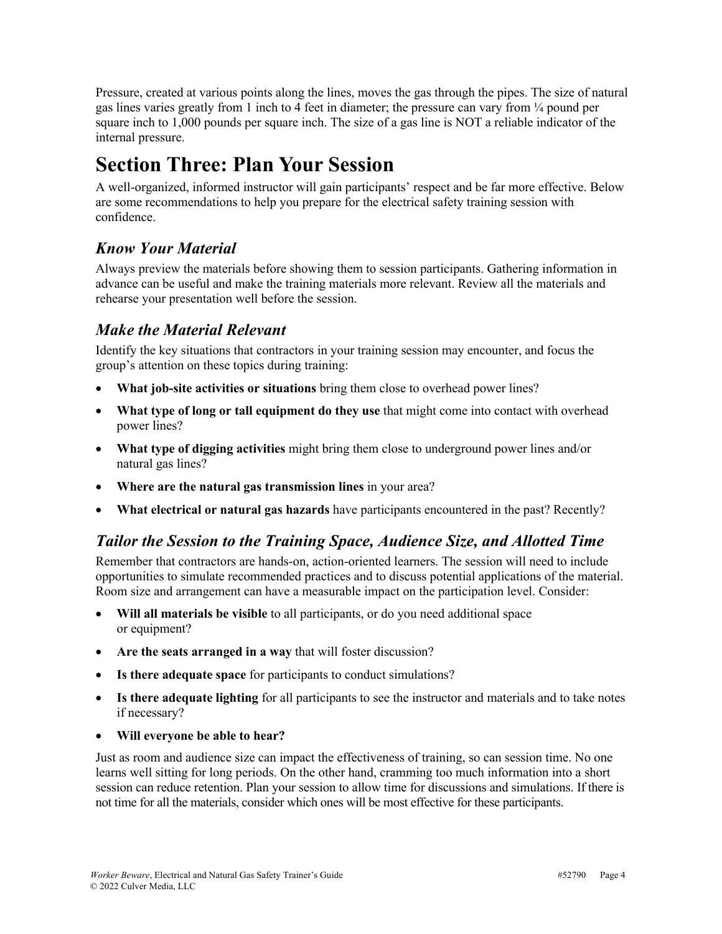Pressure, created at various points along the lines, moves the gas through the pipes. The size of natural gas lines varies greatly from 1 inch to 4 feet in diameter; the pressure can vary from ¼ pound per square inch to 1,000 pounds per square inch. The size of a gas line is NOT a reliable indicator of the internal pressure.

# **Section Three: Plan Your Session**

A well-organized, informed instructor will gain participants' respect and be far more effective. Below are some recommendations to help you prepare for the electrical safety training session with confidence.

### *Know Your Material*

Always preview the materials before showing them to session participants. Gathering information in advance can be useful and make the training materials more relevant. Review all the materials and rehearse your presentation well before the session.

#### *Make the Material Relevant*

Identify the key situations that contractors in your training session may encounter, and focus the group's attention on these topics during training:

- **What job-site activities or situations** bring them close to overhead power lines?
- **What type of long or tall equipment do they use** that might come into contact with overhead power lines?
- **What type of digging activities** might bring them close to underground power lines and/or natural gas lines?
- **Where are the natural gas transmission lines** in your area?
- **What electrical or natural gas hazards** have participants encountered in the past? Recently?

#### *Tailor the Session to the Training Space, Audience Size, and Allotted Time*

Remember that contractors are hands-on, action-oriented learners. The session will need to include opportunities to simulate recommended practices and to discuss potential applications of the material. Room size and arrangement can have a measurable impact on the participation level. Consider:

- **Will all materials be visible** to all participants, or do you need additional space or equipment?
- **Are the seats arranged in a way** that will foster discussion?
- **Is there adequate space** for participants to conduct simulations?
- **Is there adequate lighting** for all participants to see the instructor and materials and to take notes if necessary?
- **Will everyone be able to hear?**

Just as room and audience size can impact the effectiveness of training, so can session time. No one learns well sitting for long periods. On the other hand, cramming too much information into a short session can reduce retention. Plan your session to allow time for discussions and simulations. If there is not time for all the materials, consider which ones will be most effective for these participants.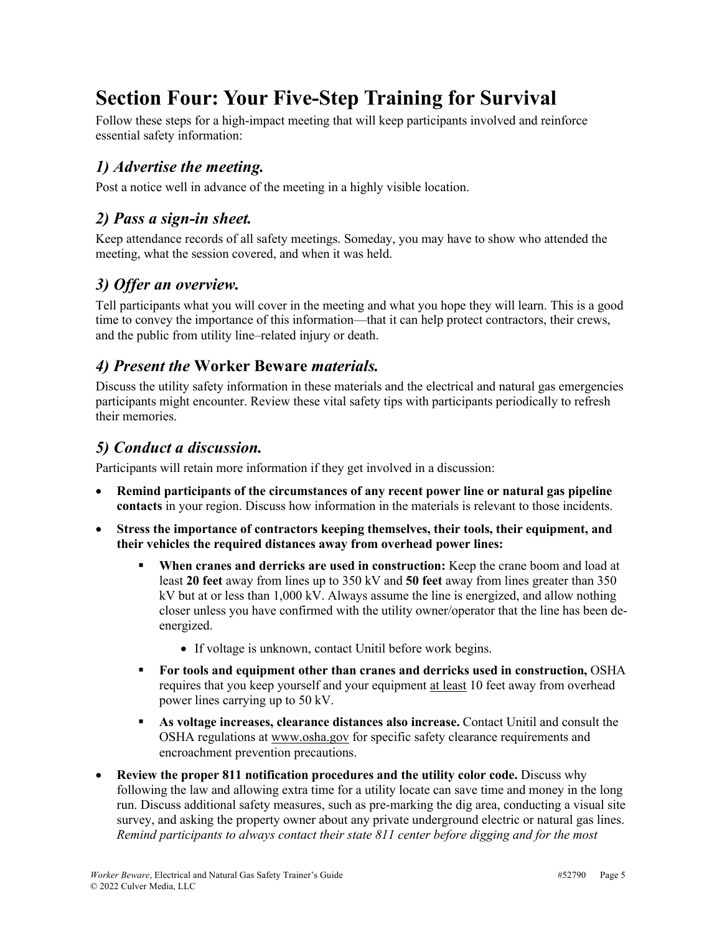## **Section Four: Your Five-Step Training for Survival**

Follow these steps for a high-impact meeting that will keep participants involved and reinforce essential safety information:

### *1) Advertise the meeting.*

Post a notice well in advance of the meeting in a highly visible location.

### *2) Pass a sign-in sheet.*

Keep attendance records of all safety meetings. Someday, you may have to show who attended the meeting, what the session covered, and when it was held.

#### *3) Offer an overview.*

Tell participants what you will cover in the meeting and what you hope they will learn. This is a good time to convey the importance of this information—that it can help protect contractors, their crews, and the public from utility line–related injury or death.

#### *4) Present the* **Worker Beware** *materials.*

Discuss the utility safety information in these materials and the electrical and natural gas emergencies participants might encounter. Review these vital safety tips with participants periodically to refresh their memories.

#### *5) Conduct a discussion.*

Participants will retain more information if they get involved in a discussion:

- **Remind participants of the circumstances of any recent power line or natural gas pipeline contacts** in your region. Discuss how information in the materials is relevant to those incidents.
- **Stress the importance of contractors keeping themselves, their tools, their equipment, and their vehicles the required distances away from overhead power lines:**
	- § **When cranes and derricks are used in construction:** Keep the crane boom and load at least **20 feet** away from lines up to 350 kV and **50 feet** away from lines greater than 350 kV but at or less than 1,000 kV. Always assume the line is energized, and allow nothing closer unless you have confirmed with the utility owner/operator that the line has been deenergized.
		- If voltage is unknown, contact Unitil before work begins.
	- § **For tools and equipment other than cranes and derricks used in construction,** OSHA requires that you keep yourself and your equipment at least 10 feet away from overhead power lines carrying up to 50 kV.
	- § **As voltage increases, clearance distances also increase.** Contact Unitil and consult the OSHA regulations at www.osha.gov for specific safety clearance requirements and encroachment prevention precautions.
- **Review the proper 811 notification procedures and the utility color code.** Discuss why following the law and allowing extra time for a utility locate can save time and money in the long run. Discuss additional safety measures, such as pre-marking the dig area, conducting a visual site survey, and asking the property owner about any private underground electric or natural gas lines. *Remind participants to always contact their state 811 center before digging and for the most*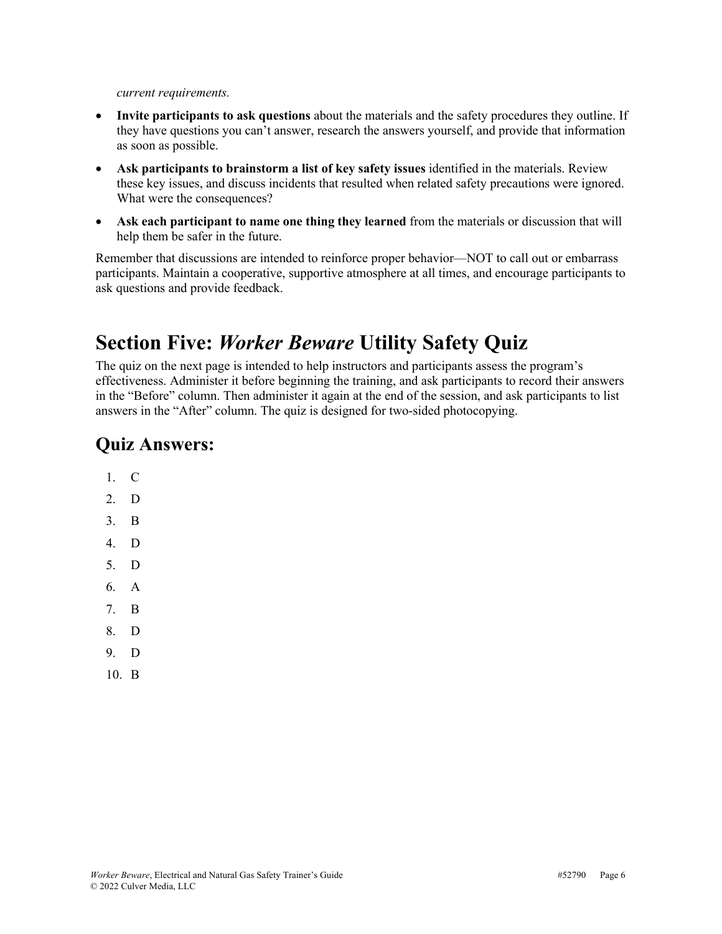*current requirements.*

- **Invite participants to ask questions** about the materials and the safety procedures they outline. If they have questions you can't answer, research the answers yourself, and provide that information as soon as possible.
- **Ask participants to brainstorm a list of key safety issues** identified in the materials. Review these key issues, and discuss incidents that resulted when related safety precautions were ignored. What were the consequences?
- **Ask each participant to name one thing they learned** from the materials or discussion that will help them be safer in the future.

Remember that discussions are intended to reinforce proper behavior—NOT to call out or embarrass participants. Maintain a cooperative, supportive atmosphere at all times, and encourage participants to ask questions and provide feedback.

## **Section Five:** *Worker Beware* **Utility Safety Quiz**

The quiz on the next page is intended to help instructors and participants assess the program's effectiveness. Administer it before beginning the training, and ask participants to record their answers in the "Before" column. Then administer it again at the end of the session, and ask participants to list answers in the "After" column. The quiz is designed for two-sided photocopying.

### **Quiz Answers:**

- 1. C
- 2. D
- 3. B
- 4. D
- 5. D
- 6. A
- 7. B
- 8. D
- 9. D
- 10. B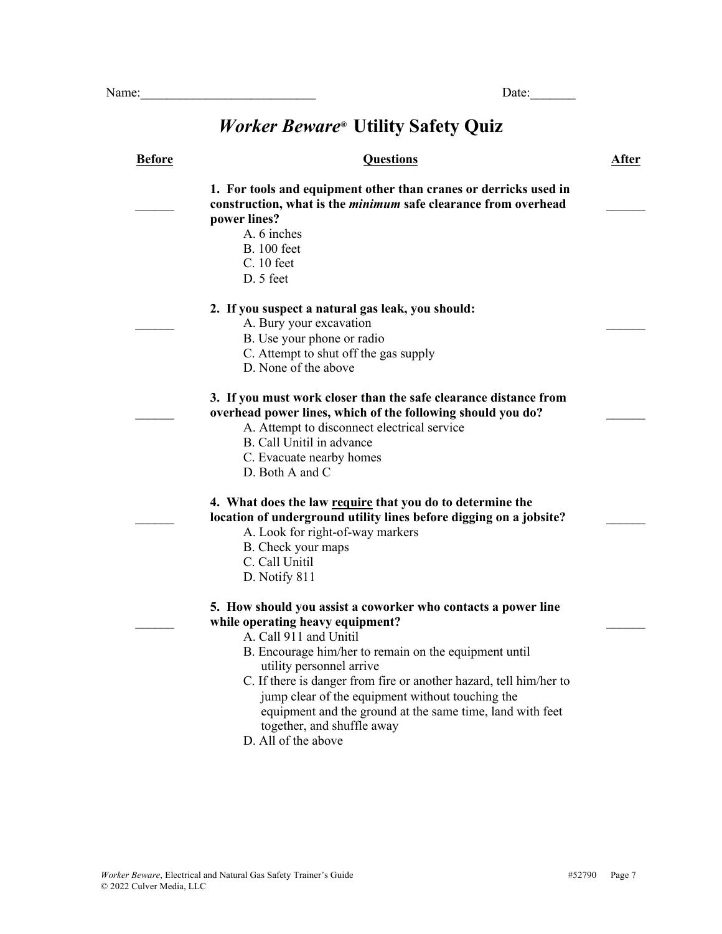## *Worker Beware®* **Utility Safety Quiz**

| <b>Before</b> | <b>Questions</b>                                                                                                                                                                                                                                                                                                                                                                                                                                             | After |
|---------------|--------------------------------------------------------------------------------------------------------------------------------------------------------------------------------------------------------------------------------------------------------------------------------------------------------------------------------------------------------------------------------------------------------------------------------------------------------------|-------|
|               | 1. For tools and equipment other than cranes or derricks used in<br>construction, what is the <i>minimum</i> safe clearance from overhead<br>power lines?<br>A. 6 inches<br><b>B.</b> 100 feet<br>C. 10 feet<br>D. 5 feet                                                                                                                                                                                                                                    |       |
|               | 2. If you suspect a natural gas leak, you should:<br>A. Bury your excavation<br>B. Use your phone or radio<br>C. Attempt to shut off the gas supply<br>D. None of the above                                                                                                                                                                                                                                                                                  |       |
|               | 3. If you must work closer than the safe clearance distance from<br>overhead power lines, which of the following should you do?<br>A. Attempt to disconnect electrical service<br>B. Call Unitil in advance<br>C. Evacuate nearby homes<br>D. Both A and C                                                                                                                                                                                                   |       |
|               | 4. What does the law require that you do to determine the<br>location of underground utility lines before digging on a jobsite?<br>A. Look for right-of-way markers<br>B. Check your maps<br>C. Call Unitil<br>D. Notify 811                                                                                                                                                                                                                                 |       |
|               | 5. How should you assist a coworker who contacts a power line<br>while operating heavy equipment?<br>A. Call 911 and Unitil<br>B. Encourage him/her to remain on the equipment until<br>utility personnel arrive<br>C. If there is danger from fire or another hazard, tell him/her to<br>jump clear of the equipment without touching the<br>equipment and the ground at the same time, land with feet<br>together, and shuffle away<br>D. All of the above |       |